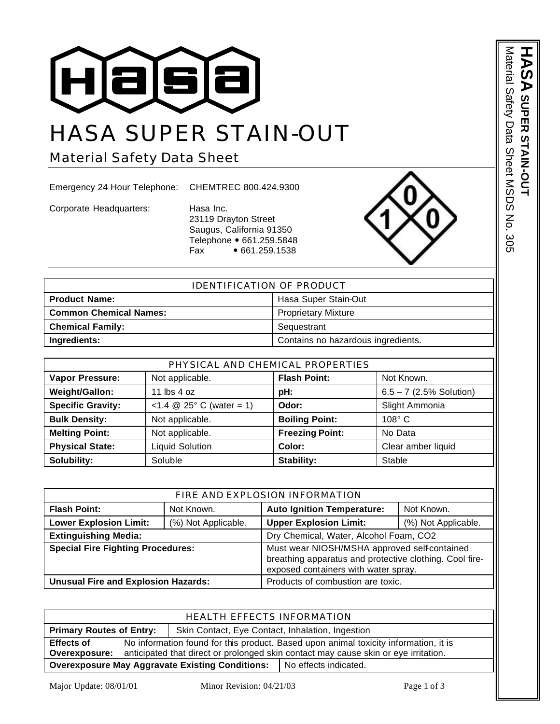

## HASA SUPER STAIN-OUT

Material Safety Data Sheet

Emergency 24 Hour Telephone: CHEMTREC 800.424.9300

Corporate Headquarters: Hasa Inc.

23119 Drayton Street Saugus, California 91350 Telephone • 661.259.5848  $Fax \rightarrow 661.259.1538$ 



| IDENTIFICATION OF PRODUCT     |                                    |  |
|-------------------------------|------------------------------------|--|
| <b>Product Name:</b>          | Hasa Super Stain-Out               |  |
| <b>Common Chemical Names:</b> | <b>Proprietary Mixture</b>         |  |
| <b>Chemical Family:</b>       | Sequestrant                        |  |
| Ingredients:                  | Contains no hazardous ingredients. |  |

| PHYSICAL AND CHEMICAL PROPERTIES                                        |                                         |                        |                           |  |  |
|-------------------------------------------------------------------------|-----------------------------------------|------------------------|---------------------------|--|--|
| <b>Flash Point:</b><br>Vapor Pressure:<br>Not applicable.<br>Not Known. |                                         |                        |                           |  |  |
| Weight/Gallon:                                                          | 11 $\text{lbs}$ 4 oz                    | pH:                    | $6.5 - 7$ (2.5% Solution) |  |  |
| <b>Specific Gravity:</b>                                                | $<1.4 \otimes 25^{\circ}$ C (water = 1) | Odor:                  | Slight Ammonia            |  |  |
| <b>Bulk Density:</b>                                                    | Not applicable.                         | <b>Boiling Point:</b>  | $108^\circ$ C             |  |  |
| <b>Melting Point:</b>                                                   | Not applicable.                         | <b>Freezing Point:</b> | No Data                   |  |  |
| <b>Physical State:</b>                                                  | <b>Liquid Solution</b>                  | Color:                 | Clear amber liquid        |  |  |
| Solubility:                                                             | Soluble                                 | Stability:             | Stable                    |  |  |

| FIRE AND EXPLOSION INFORMATION             |                     |                                                                                                                                                 |                     |
|--------------------------------------------|---------------------|-------------------------------------------------------------------------------------------------------------------------------------------------|---------------------|
| <b>Flash Point:</b>                        | Not Known.          | <b>Auto Ignition Temperature:</b>                                                                                                               | Not Known.          |
| <b>Lower Explosion Limit:</b>              | (%) Not Applicable. | <b>Upper Explosion Limit:</b>                                                                                                                   | (%) Not Applicable. |
| <b>Extinguishing Media:</b>                |                     | Dry Chemical, Water, Alcohol Foam, CO2                                                                                                          |                     |
| <b>Special Fire Fighting Procedures:</b>   |                     | Must wear NIOSH/MSHA approved self-contained<br>breathing apparatus and protective clothing. Cool fire-<br>exposed containers with water spray. |                     |
| <b>Unusual Fire and Explosion Hazards:</b> |                     | Products of combustion are toxic.                                                                                                               |                     |

| <b>HEALTH EFFECTS INFORMATION</b>                                                   |                                                                                      |  |                         |
|-------------------------------------------------------------------------------------|--------------------------------------------------------------------------------------|--|-------------------------|
| <b>Primary Routes of Entry:</b><br>Skin Contact, Eye Contact, Inhalation, Ingestion |                                                                                      |  |                         |
| <b>Effects of</b>                                                                   | No information found for this product. Based upon animal toxicity information, it is |  |                         |
| Overexposure:                                                                       | anticipated that direct or prolonged skin contact may cause skin or eye irritation.  |  |                         |
| <b>Overexposure May Aggravate Existing Conditions:</b>                              |                                                                                      |  | l No effects indicated. |

Major Update: 08/01/01 Minor Revision: 04/21/03 Page 1 of 3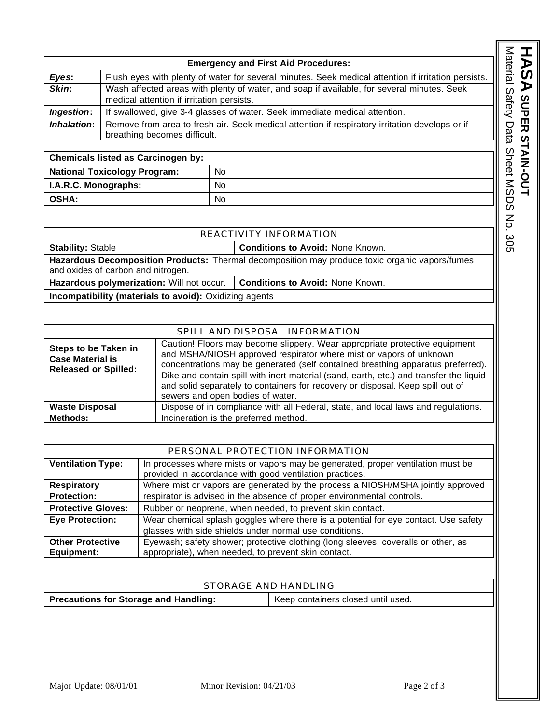|                          |                                                                                                                                         |     | <b>Emergency and First Aid Procedures:</b>                                                          | Material   |
|--------------------------|-----------------------------------------------------------------------------------------------------------------------------------------|-----|-----------------------------------------------------------------------------------------------------|------------|
| Eyes:                    |                                                                                                                                         |     | Flush eyes with plenty of water for several minutes. Seek medical attention if irritation persists. |            |
| Skin:                    | Wash affected areas with plenty of water, and soap if available, for several minutes. Seek<br>medical attention if irritation persists. |     |                                                                                                     | Safety     |
| Ingestion:               |                                                                                                                                         |     | If swallowed, give 3-4 glasses of water. Seek immediate medical attention.                          |            |
| Inhalation:              | Remove from area to fresh air. Seek medical attention if respiratory irritation develops or if<br>breathing becomes difficult.          |     |                                                                                                     | Data       |
|                          |                                                                                                                                         |     |                                                                                                     |            |
|                          | <b>Chemicals listed as Carcinogen by:</b>                                                                                               |     |                                                                                                     |            |
|                          | <b>National Toxicology Program:</b>                                                                                                     | No. |                                                                                                     |            |
| I.A.R.C. Monographs:     |                                                                                                                                         | No. |                                                                                                     | Sheet MSDS |
| <b>OSHA:</b>             |                                                                                                                                         | No. |                                                                                                     |            |
|                          |                                                                                                                                         |     | $\mathsf{K}_{\mathsf{O}}$                                                                           |            |
|                          |                                                                                                                                         |     | REACTIVITY INFORMATION                                                                              |            |
| <b>Stability: Stable</b> |                                                                                                                                         |     | <b>Conditions to Avoid: None Known.</b>                                                             | 305        |

| <b>Chemicals listed as Carcinogen by:</b> |           |  |
|-------------------------------------------|-----------|--|
| <b>National Toxicology Program:</b>       | No        |  |
| I.A.R.C. Monographs:                      | No        |  |
| <b>OSHA:</b>                              | <b>No</b> |  |

| <b>REACTIVITY INFORMATION</b>                                                                                                               |                                         |  |
|---------------------------------------------------------------------------------------------------------------------------------------------|-----------------------------------------|--|
| <b>Stability: Stable</b>                                                                                                                    | <b>Conditions to Avoid: None Known.</b> |  |
| <b>Hazardous Decomposition Products:</b> Thermal decomposition may produce toxic organic vapors/fumes<br>and oxides of carbon and nitrogen. |                                         |  |
| Hazardous polymerization: Will not occur.                                                                                                   | <b>Conditions to Avoid: None Known.</b> |  |
| Incompatibility (materials to avoid): Oxidizing agents                                                                                      |                                         |  |

|                                                                                       | SPILL AND DISPOSAL INFORMATION                                                                                                                                                                                                                                                                                                                                                                                                                      |
|---------------------------------------------------------------------------------------|-----------------------------------------------------------------------------------------------------------------------------------------------------------------------------------------------------------------------------------------------------------------------------------------------------------------------------------------------------------------------------------------------------------------------------------------------------|
| <b>Steps to be Taken in</b><br><b>Case Material is</b><br><b>Released or Spilled:</b> | Caution! Floors may become slippery. Wear appropriate protective equipment<br>and MSHA/NIOSH approved respirator where mist or vapors of unknown<br>concentrations may be generated (self contained breathing apparatus preferred).<br>Dike and contain spill with inert material (sand, earth, etc.) and transfer the liquid<br>and solid separately to containers for recovery or disposal. Keep spill out of<br>sewers and open bodies of water. |
| <b>Waste Disposal</b>                                                                 | Dispose of in compliance with all Federal, state, and local laws and regulations.                                                                                                                                                                                                                                                                                                                                                                   |
| <b>Methods:</b>                                                                       | Incineration is the preferred method.                                                                                                                                                                                                                                                                                                                                                                                                               |

| PERSONAL PROTECTION INFORMATION |                                                                                                                                            |  |
|---------------------------------|--------------------------------------------------------------------------------------------------------------------------------------------|--|
| <b>Ventilation Type:</b>        | In processes where mists or vapors may be generated, proper ventilation must be<br>provided in accordance with good ventilation practices. |  |
| <b>Respiratory</b>              | Where mist or vapors are generated by the process a NIOSH/MSHA jointly approved                                                            |  |
| <b>Protection:</b>              | respirator is advised in the absence of proper environmental controls.                                                                     |  |
| <b>Protective Gloves:</b>       | Rubber or neoprene, when needed, to prevent skin contact.                                                                                  |  |
| <b>Eye Protection:</b>          | Wear chemical splash goggles where there is a potential for eye contact. Use safety                                                        |  |
|                                 | glasses with side shields under normal use conditions.                                                                                     |  |
| <b>Other Protective</b>         | Eyewash; safety shower; protective clothing (long sleeves, coveralls or other, as                                                          |  |
| Equipment:                      | appropriate), when needed, to prevent skin contact.                                                                                        |  |

| STORAGE AND HANDLING                         |                                    |  |
|----------------------------------------------|------------------------------------|--|
| <b>Precautions for Storage and Handling:</b> | Keep containers closed until used. |  |

HASA super stain-out

**SUPER STAIN-OUT**